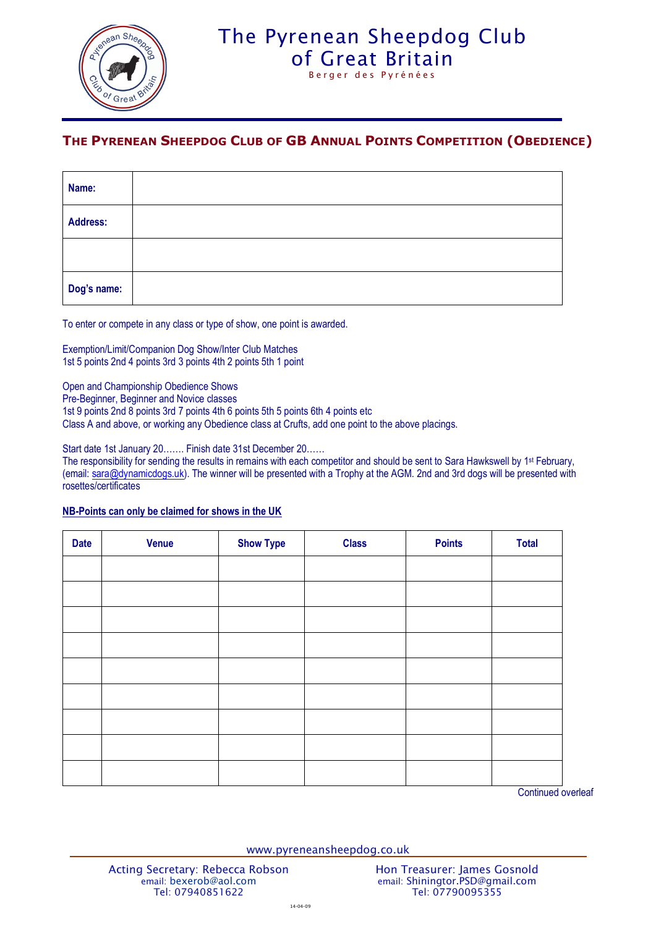

## The Pyrenean Sheepdog Club [of Great Britain](http://www.pyreneansheepdog.co.uk/index.htm)

Berger des Pyrénées

## **THE PYRENEAN SHEEPDOG CLUB OF GB ANNUAL POINTS COMPETITION (OBEDIENCE)**

| Name:       |  |
|-------------|--|
| Address:    |  |
|             |  |
| Dog's name: |  |

To enter or compete in any class or type of show, one point is awarded.

Exemption/Limit/Companion Dog Show/Inter Club Matches 1st 5 points 2nd 4 points 3rd 3 points 4th 2 points 5th 1 point

Open and Championship Obedience Shows

Pre-Beginner, Beginner and Novice classes

1st 9 points 2nd 8 points 3rd 7 points 4th 6 points 5th 5 points 6th 4 points etc

Class A and above, or working any Obedience class at Crufts, add one point to the above placings.

Start date 1st January 20……. Finish date 31st December 20……

The responsibility for sending the results in remains with each competitor and should be sent to Sara Hawkswell by 1<sup>st</sup> February, (email: [sara@dynamicdogs.uk\)](mailto:sara@dynamicdogs.uk). The winner will be presented with a Trophy at the AGM. 2nd and 3rd dogs will be presented with rosettes/certificates

## **NB-Points can only be claimed for shows in the UK**

| <b>Date</b> | <b>Venue</b> | <b>Show Type</b> | <b>Class</b> | <b>Points</b> | <b>Total</b> |
|-------------|--------------|------------------|--------------|---------------|--------------|
|             |              |                  |              |               |              |
|             |              |                  |              |               |              |
|             |              |                  |              |               |              |
|             |              |                  |              |               |              |
|             |              |                  |              |               |              |
|             |              |                  |              |               |              |
|             |              |                  |              |               |              |
|             |              |                  |              |               |              |
|             |              |                  |              |               |              |

Continued overleaf

www.pyreneansheepdog.co.uk